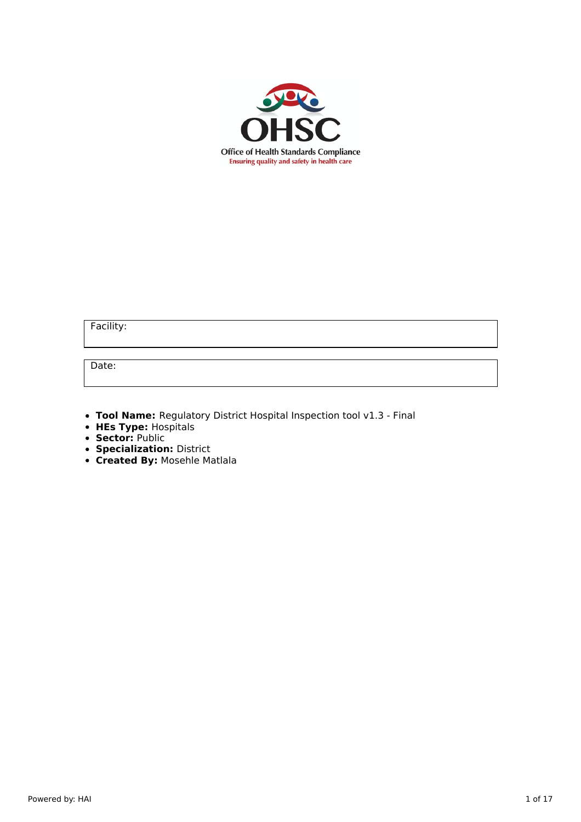

Facility:

Date:

**Tool Name:** Regulatory District Hospital Inspection tool v1.3 - Final

- **HEs Type:** Hospitals
- **Sector:** Public
- **Specialization:** District
- **Created By:** Mosehle Matlala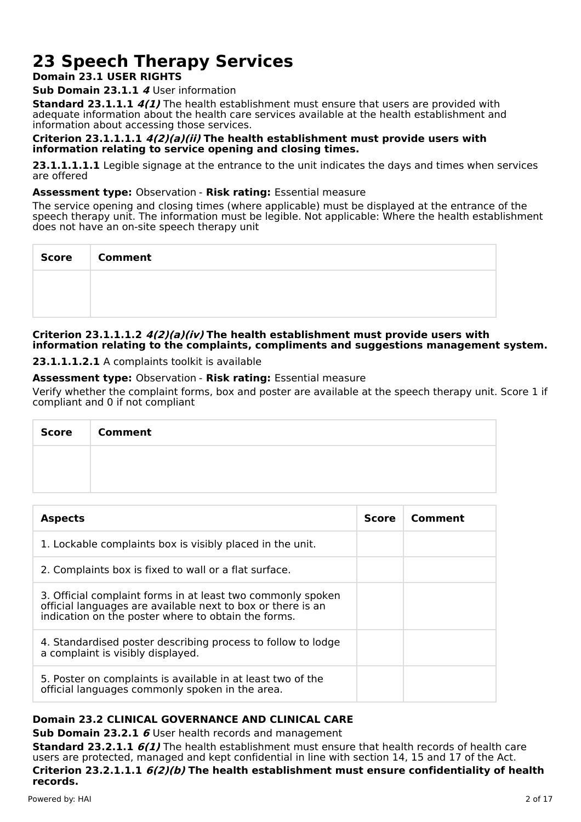# **23 Speech Therapy Services**

# **Domain 23.1 USER RIGHTS**

# **Sub Domain 23.1.1 4** User information

**Standard 23.1.1.1 4(1)** The health establishment must ensure that users are provided with adequate information about the health care services available at the health establishment and information about accessing those services.

## **Criterion 23.1.1.1.1 4(2)(a)(ii) The health establishment must provide users with information relating to service opening and closing times.**

**23.1.1.1.1.1** Legible signage at the entrance to the unit indicates the days and times when services are offered

## **Assessment type:** Observation - **Risk rating:** Essential measure

The service opening and closing times (where applicable) must be displayed at the entrance of the speech therapy unit. The information must be legible. Not applicable: Where the health establishment does not have an on-site speech therapy unit

| Score   Comment |
|-----------------|
|                 |
|                 |

## **Criterion 23.1.1.1.2 4(2)(a)(iv) The health establishment must provide users with information relating to the complaints, compliments and suggestions management system.**

**23.1.1.1.2.1** A complaints toolkit is available

# **Assessment type:** Observation - **Risk rating:** Essential measure

Verify whether the complaint forms, box and poster are available at the speech therapy unit. Score 1 if compliant and 0 if not compliant

| Score | <b>Comment</b> |
|-------|----------------|
|       |                |
|       |                |

| <b>Aspects</b>                                                                                                                                                                    | <b>Score</b> | Comment |
|-----------------------------------------------------------------------------------------------------------------------------------------------------------------------------------|--------------|---------|
| 1. Lockable complaints box is visibly placed in the unit.                                                                                                                         |              |         |
| 2. Complaints box is fixed to wall or a flat surface.                                                                                                                             |              |         |
| 3. Official complaint forms in at least two commonly spoken<br>official languages are available next to box or there is an<br>indication on the poster where to obtain the forms. |              |         |
| 4. Standardised poster describing process to follow to lodge<br>a complaint is visibly displayed.                                                                                 |              |         |
| 5. Poster on complaints is available in at least two of the<br>official languages commonly spoken in the area.                                                                    |              |         |

# **Domain 23.2 CLINICAL GOVERNANCE AND CLINICAL CARE**

**Sub Domain 23.2.1 6** User health records and management

**Standard 23.2.1.1 6(1)** The health establishment must ensure that health records of health care users are protected, managed and kept confidential in line with section 14, 15 and 17 of the Act. **Criterion 23.2.1.1.1 6(2)(b) The health establishment must ensure confidentiality of health**

**records.** Powered by: HAI 2 of 17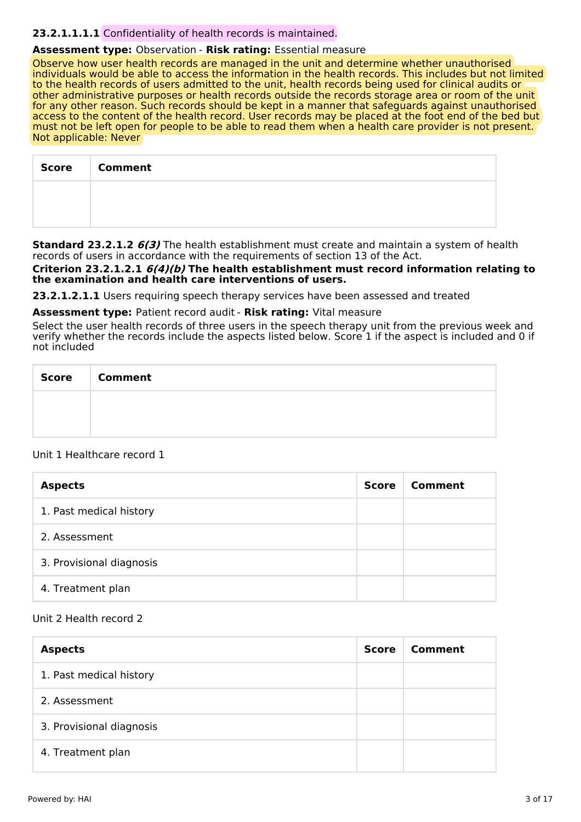#### **23.2.1.1.1.1** Confidentiality of health records is maintained.

#### **Assessment type:** Observation - **Risk rating:** Essential measure

Observe how user health records are managed in the unit and determine whether unauthorised individuals would be able to access the information in the health records. This includes but not limited to the health records of users admitted to the unit, health records being used for clinical audits or other administrative purposes or health records outside the records storage area or room of the unit for any other reason. Such records should be kept in a manner that safeguards against unauthorised access to the content of the health record. User records may be placed at the foot end of the bed but must not be left open for people to be able to read them when a health care provider is not present. Not applicable: Never

| <b>Score</b> | <b>Comment</b> |
|--------------|----------------|
|              |                |
|              |                |

**Standard 23.2.1.2 6(3)** The health establishment must create and maintain a system of health records of users in accordance with the requirements of section 13 of the Act.

**Criterion 23.2.1.2.1 6(4)(b) The health establishment must record information relating to the examination and health care interventions of users.**

**23.2.1.2.1.1** Users requiring speech therapy services have been assessed and treated

**Assessment type:** Patient record audit - **Risk rating:** Vital measure

Select the user health records of three users in the speech therapy unit from the previous week and verify whether the records include the aspects listed below. Score 1 if the aspect is included and 0 if not included

| <b>Score</b><br>$\sim$ | Comment |
|------------------------|---------|
|                        |         |
|                        |         |

#### Unit 1 Healthcare record 1

| <b>Aspects</b>           | Score | Comment |
|--------------------------|-------|---------|
| 1. Past medical history  |       |         |
| 2. Assessment            |       |         |
| 3. Provisional diagnosis |       |         |
| 4. Treatment plan        |       |         |

#### Unit 2 Health record 2

| <b>Aspects</b>           | <b>Score</b> | Comment |
|--------------------------|--------------|---------|
| 1. Past medical history  |              |         |
| 2. Assessment            |              |         |
| 3. Provisional diagnosis |              |         |
| 4. Treatment plan        |              |         |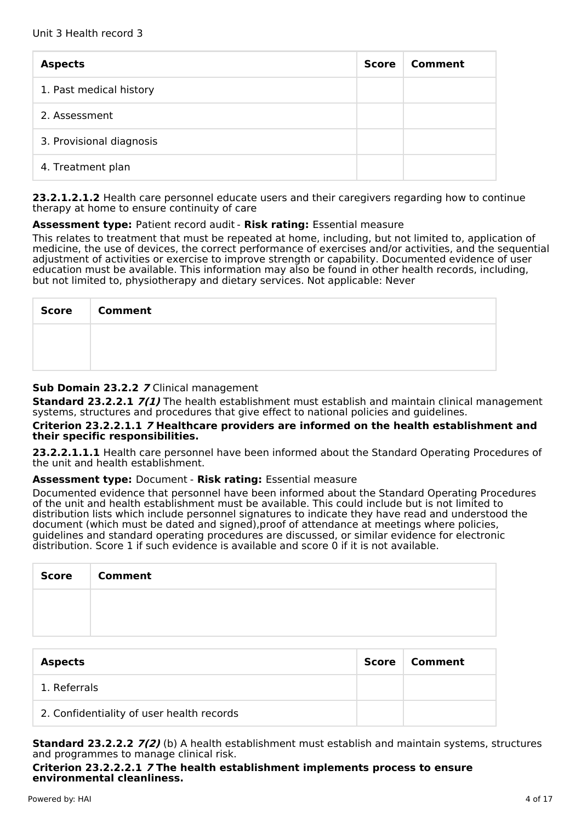| <b>Aspects</b>           | <b>Score</b> | Comment |
|--------------------------|--------------|---------|
| 1. Past medical history  |              |         |
| 2. Assessment            |              |         |
| 3. Provisional diagnosis |              |         |
| 4. Treatment plan        |              |         |

**23.2.1.2.1.2** Health care personnel educate users and their caregivers regarding how to continue therapy at home to ensure continuity of care

#### **Assessment type:** Patient record audit - **Risk rating:** Essential measure

This relates to treatment that must be repeated at home, including, but not limited to, application of medicine, the use of devices, the correct performance of exercises and/or activities, and the sequential adjustment of activities or exercise to improve strength or capability. Documented evidence of user education must be available. This information may also be found in other health records, including, but not limited to, physiotherapy and dietary services. Not applicable: Never

| <b>Score</b> | <b>Comment</b> |
|--------------|----------------|
|              |                |
|              |                |

#### **Sub Domain 23.2.2 7** Clinical management

**Standard 23.2.2.1 7(1)** The health establishment must establish and maintain clinical management systems, structures and procedures that give effect to national policies and guidelines.

#### **Criterion 23.2.2.1.1 7 Healthcare providers are informed on the health establishment and their specific responsibilities.**

**23.2.2.1.1.1** Health care personnel have been informed about the Standard Operating Procedures of the unit and health establishment.

#### **Assessment type:** Document - **Risk rating:** Essential measure

Documented evidence that personnel have been informed about the Standard Operating Procedures of the unit and health establishment must be available. This could include but is not limited to distribution lists which include personnel signatures to indicate they have read and understood the document (which must be dated and signed),proof of attendance at meetings where policies, guidelines and standard operating procedures are discussed, or similar evidence for electronic distribution. Score 1 if such evidence is available and score 0 if it is not available.

| <b>Score</b> | <b>Comment</b> |
|--------------|----------------|
|              |                |
|              |                |

| <b>Aspects</b>                            | Score | Comment |
|-------------------------------------------|-------|---------|
| 1. Referrals                              |       |         |
| 2. Confidentiality of user health records |       |         |

**Standard 23.2.2.2 7(2)** (b) A health establishment must establish and maintain systems, structures and programmes to manage clinical risk.

**Criterion 23.2.2.2.1 7 The health establishment implements process to ensure environmental cleanliness.**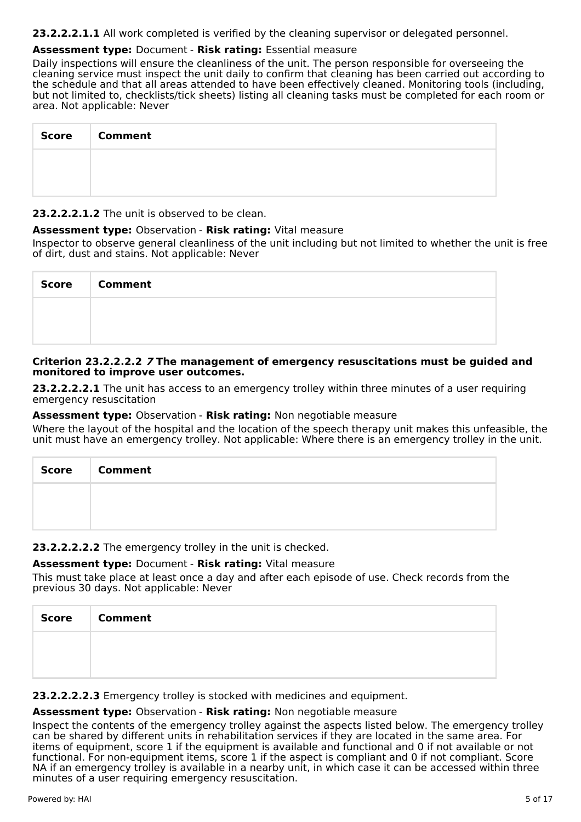**23.2.2.2.1.1** All work completed is verified by the cleaning supervisor or delegated personnel.

## **Assessment type:** Document - **Risk rating:** Essential measure

Daily inspections will ensure the cleanliness of the unit. The person responsible for overseeing the cleaning service must inspect the unit daily to confirm that cleaning has been carried out according to the schedule and that all areas attended to have been effectively cleaned. Monitoring tools (including, but not limited to, checklists/tick sheets) listing all cleaning tasks must be completed for each room or area. Not applicable: Never

| Score Comment |
|---------------|
|               |
|               |

#### **23.2.2.2.1.2** The unit is observed to be clean.

#### **Assessment type:** Observation - **Risk rating:** Vital measure

Inspector to observe general cleanliness of the unit including but not limited to whether the unit is free of dirt, dust and stains. Not applicable: Never

| Score   Comment |
|-----------------|
|                 |
|                 |

#### **Criterion 23.2.2.2.2 7 The management of emergency resuscitations must be guided and monitored to improve user outcomes.**

**23.2.2.2.2.1** The unit has access to an emergency trolley within three minutes of a user requiring emergency resuscitation

#### **Assessment type:** Observation - **Risk rating:** Non negotiable measure

Where the layout of the hospital and the location of the speech therapy unit makes this unfeasible, the unit must have an emergency trolley. Not applicable: Where there is an emergency trolley in the unit.

| <b>Score</b><br>- 1 | Comment |
|---------------------|---------|
|                     |         |
|                     |         |

## **23.2.2.2.2.2** The emergency trolley in the unit is checked.

## **Assessment type:** Document - **Risk rating:** Vital measure

This must take place at least once a day and after each episode of use. Check records from the previous 30 days. Not applicable: Never

| Score   Comment |
|-----------------|
|                 |
|                 |

**23.2.2.2.2.3** Emergency trolley is stocked with medicines and equipment.

#### **Assessment type:** Observation - **Risk rating:** Non negotiable measure

Inspect the contents of the emergency trolley against the aspects listed below. The emergency trolley can be shared by different units in rehabilitation services if they are located in the same area. For items of equipment, score 1 if the equipment is available and functional and 0 if not available or not functional. For non-equipment items, score 1 if the aspect is compliant and 0 if not compliant. Score NA if an emergency trolley is available in a nearby unit, in which case it can be accessed within three minutes of a user requiring emergency resuscitation.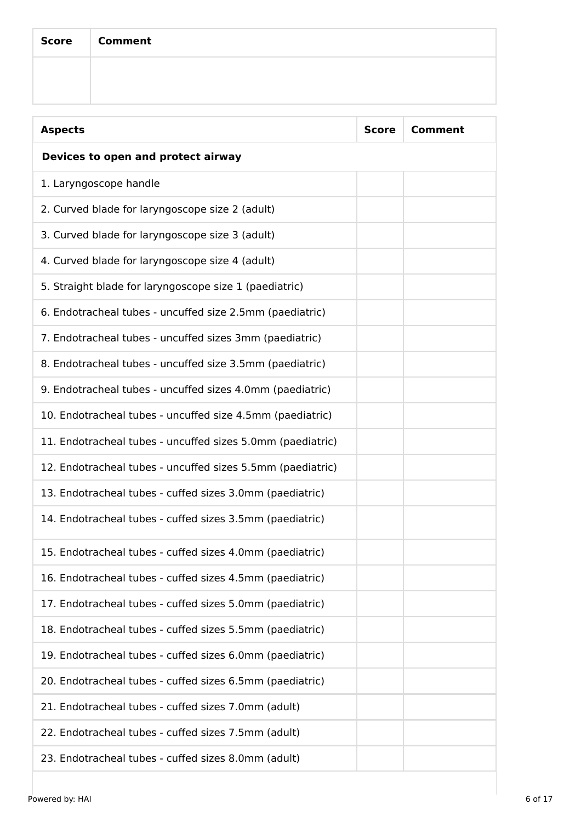| Score   Comment |
|-----------------|
|                 |

| <b>Aspects</b>                                             | <b>Score</b> | <b>Comment</b> |  |
|------------------------------------------------------------|--------------|----------------|--|
| Devices to open and protect airway                         |              |                |  |
| 1. Laryngoscope handle                                     |              |                |  |
| 2. Curved blade for laryngoscope size 2 (adult)            |              |                |  |
| 3. Curved blade for laryngoscope size 3 (adult)            |              |                |  |
| 4. Curved blade for laryngoscope size 4 (adult)            |              |                |  |
| 5. Straight blade for laryngoscope size 1 (paediatric)     |              |                |  |
| 6. Endotracheal tubes - uncuffed size 2.5mm (paediatric)   |              |                |  |
| 7. Endotracheal tubes - uncuffed sizes 3mm (paediatric)    |              |                |  |
| 8. Endotracheal tubes - uncuffed size 3.5mm (paediatric)   |              |                |  |
| 9. Endotracheal tubes - uncuffed sizes 4.0mm (paediatric)  |              |                |  |
| 10. Endotracheal tubes - uncuffed size 4.5mm (paediatric)  |              |                |  |
| 11. Endotracheal tubes - uncuffed sizes 5.0mm (paediatric) |              |                |  |
| 12. Endotracheal tubes - uncuffed sizes 5.5mm (paediatric) |              |                |  |
| 13. Endotracheal tubes - cuffed sizes 3.0mm (paediatric)   |              |                |  |
| 14. Endotracheal tubes - cuffed sizes 3.5mm (paediatric)   |              |                |  |
| 15. Endotracheal tubes - cuffed sizes 4.0mm (paediatric)   |              |                |  |
| 16. Endotracheal tubes - cuffed sizes 4.5mm (paediatric)   |              |                |  |
| 17. Endotracheal tubes - cuffed sizes 5.0mm (paediatric)   |              |                |  |
| 18. Endotracheal tubes - cuffed sizes 5.5mm (paediatric)   |              |                |  |
| 19. Endotracheal tubes - cuffed sizes 6.0mm (paediatric)   |              |                |  |
| 20. Endotracheal tubes - cuffed sizes 6.5mm (paediatric)   |              |                |  |
| 21. Endotracheal tubes - cuffed sizes 7.0mm (adult)        |              |                |  |
| 22. Endotracheal tubes - cuffed sizes 7.5mm (adult)        |              |                |  |
| 23. Endotracheal tubes - cuffed sizes 8.0mm (adult)        |              |                |  |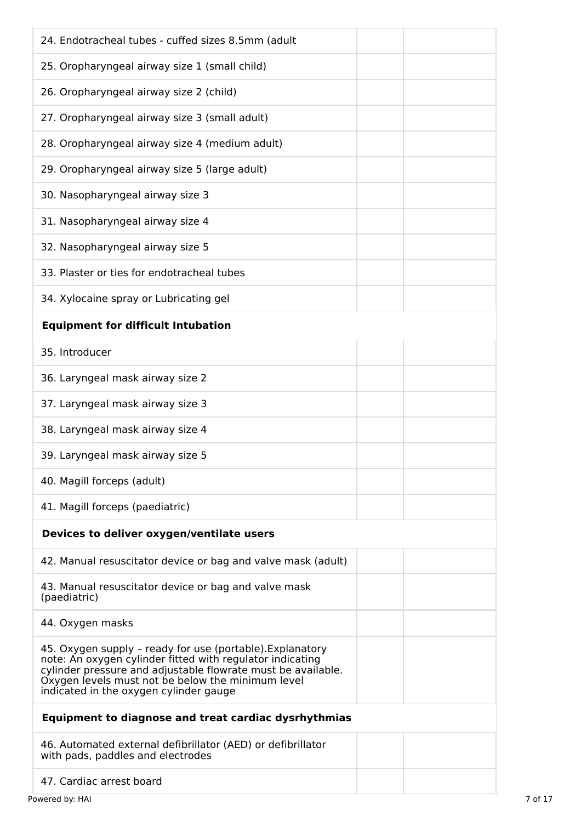| 24. Endotracheal tubes - cuffed sizes 8.5mm (adult                                                                                                                                                                                                                                    |  |  |  |
|---------------------------------------------------------------------------------------------------------------------------------------------------------------------------------------------------------------------------------------------------------------------------------------|--|--|--|
| 25. Oropharyngeal airway size 1 (small child)                                                                                                                                                                                                                                         |  |  |  |
| 26. Oropharyngeal airway size 2 (child)                                                                                                                                                                                                                                               |  |  |  |
| 27. Oropharyngeal airway size 3 (small adult)                                                                                                                                                                                                                                         |  |  |  |
| 28. Oropharyngeal airway size 4 (medium adult)                                                                                                                                                                                                                                        |  |  |  |
| 29. Oropharyngeal airway size 5 (large adult)                                                                                                                                                                                                                                         |  |  |  |
| 30. Nasopharyngeal airway size 3                                                                                                                                                                                                                                                      |  |  |  |
| 31. Nasopharyngeal airway size 4                                                                                                                                                                                                                                                      |  |  |  |
| 32. Nasopharyngeal airway size 5                                                                                                                                                                                                                                                      |  |  |  |
| 33. Plaster or ties for endotracheal tubes                                                                                                                                                                                                                                            |  |  |  |
| 34. Xylocaine spray or Lubricating gel                                                                                                                                                                                                                                                |  |  |  |
| <b>Equipment for difficult Intubation</b>                                                                                                                                                                                                                                             |  |  |  |
| 35. Introducer                                                                                                                                                                                                                                                                        |  |  |  |
| 36. Laryngeal mask airway size 2                                                                                                                                                                                                                                                      |  |  |  |
| 37. Laryngeal mask airway size 3                                                                                                                                                                                                                                                      |  |  |  |
| 38. Laryngeal mask airway size 4                                                                                                                                                                                                                                                      |  |  |  |
| 39. Laryngeal mask airway size 5                                                                                                                                                                                                                                                      |  |  |  |
| 40. Magill forceps (adult)                                                                                                                                                                                                                                                            |  |  |  |
| 41. Magill forceps (paediatric)                                                                                                                                                                                                                                                       |  |  |  |
| Devices to deliver oxygen/ventilate users                                                                                                                                                                                                                                             |  |  |  |
| 42. Manual resuscitator device or bag and valve mask (adult)                                                                                                                                                                                                                          |  |  |  |
| 43. Manual resuscitator device or bag and valve mask<br>(paediatric)                                                                                                                                                                                                                  |  |  |  |
| 44. Oxygen masks                                                                                                                                                                                                                                                                      |  |  |  |
| 45. Oxygen supply - ready for use (portable). Explanatory<br>note: An oxygen cylinder fitted with regulator indicating<br>cylinder pressure and adjustable flowrate must be available.<br>Oxygen levels must not be below the minimum level<br>indicated in the oxygen cylinder gauge |  |  |  |
| Equipment to diagnose and treat cardiac dysrhythmias                                                                                                                                                                                                                                  |  |  |  |
| 46. Automated external defibrillator (AED) or defibrillator<br>with pads, paddles and electrodes                                                                                                                                                                                      |  |  |  |
| 47. Cardiac arrest board                                                                                                                                                                                                                                                              |  |  |  |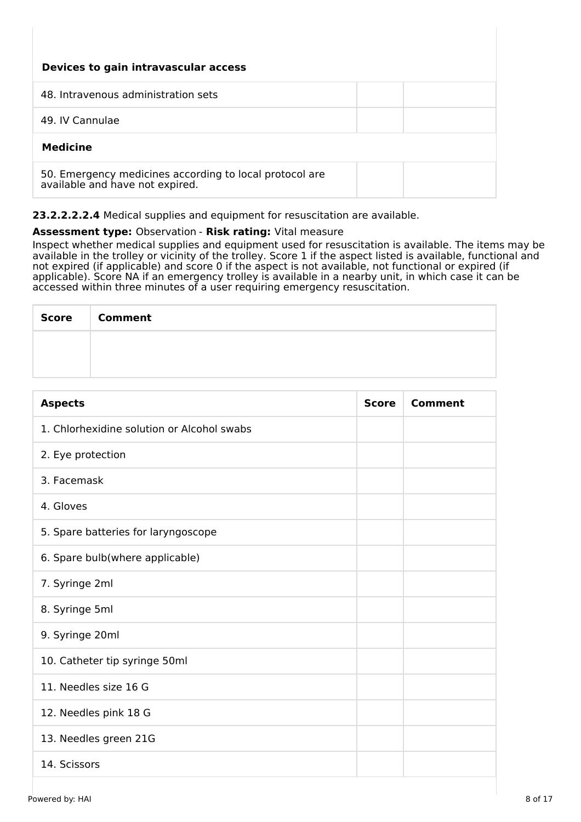| Devices to gain intravascular access                                                       |  |  |  |
|--------------------------------------------------------------------------------------------|--|--|--|
| 48. Intravenous administration sets                                                        |  |  |  |
| 49. IV Cannulae                                                                            |  |  |  |
| <b>Medicine</b>                                                                            |  |  |  |
| 50. Emergency medicines according to local protocol are<br>available and have not expired. |  |  |  |

**23.2.2.2.2.4** Medical supplies and equipment for resuscitation are available.

#### **Assessment type:** Observation - **Risk rating:** Vital measure

Inspect whether medical supplies and equipment used for resuscitation is available. The items may be available in the trolley or vicinity of the trolley. Score 1 if the aspect listed is available, functional and not expired (if applicable) and score 0 if the aspect is not available, not functional or expired (if applicable). Score NA if an emergency trolley is available in a nearby unit, in which case it can be accessed within three minutes of a user requiring emergency resuscitation.

| Score | <b>Comment</b> |
|-------|----------------|
|       |                |
|       |                |

| <b>Aspects</b>                             | <b>Score</b> | <b>Comment</b> |
|--------------------------------------------|--------------|----------------|
| 1. Chlorhexidine solution or Alcohol swabs |              |                |
| 2. Eye protection                          |              |                |
| 3. Facemask                                |              |                |
| 4. Gloves                                  |              |                |
| 5. Spare batteries for laryngoscope        |              |                |
| 6. Spare bulb(where applicable)            |              |                |
| 7. Syringe 2ml                             |              |                |
| 8. Syringe 5ml                             |              |                |
| 9. Syringe 20ml                            |              |                |
| 10. Catheter tip syringe 50ml              |              |                |
| 11. Needles size 16 G                      |              |                |
| 12. Needles pink 18 G                      |              |                |
| 13. Needles green 21G                      |              |                |
| 14. Scissors                               |              |                |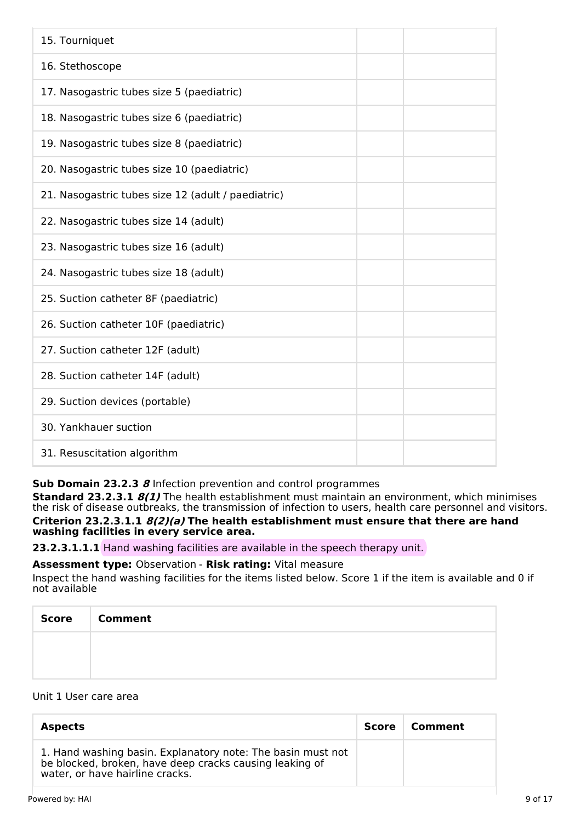| 15. Tourniquet                                     |
|----------------------------------------------------|
| 16. Stethoscope                                    |
| 17. Nasogastric tubes size 5 (paediatric)          |
| 18. Nasogastric tubes size 6 (paediatric)          |
| 19. Nasogastric tubes size 8 (paediatric)          |
| 20. Nasogastric tubes size 10 (paediatric)         |
| 21. Nasogastric tubes size 12 (adult / paediatric) |
| 22. Nasogastric tubes size 14 (adult)              |
| 23. Nasogastric tubes size 16 (adult)              |
| 24. Nasogastric tubes size 18 (adult)              |
| 25. Suction catheter 8F (paediatric)               |
| 26. Suction catheter 10F (paediatric)              |
| 27. Suction catheter 12F (adult)                   |
| 28. Suction catheter 14F (adult)                   |
| 29. Suction devices (portable)                     |
| 30. Yankhauer suction                              |
| 31. Resuscitation algorithm                        |

## **Sub Domain 23.2.3 8** Infection prevention and control programmes

**Standard 23.2.3.1 8(1)** The health establishment must maintain an environment, which minimises the risk of disease outbreaks, the transmission of infection to users, health care personnel and visitors. **Criterion 23.2.3.1.1 8(2)(a) The health establishment must ensure that there are hand washing facilities in every service area.**

**23.2.3.1.1.1** Hand washing facilities are available in the speech therapy unit.

# **Assessment type:** Observation - **Risk rating:** Vital measure

Inspect the hand washing facilities for the items listed below. Score 1 if the item is available and 0 if not available

| <b>Score</b> | <b>Comment</b> |
|--------------|----------------|
|              |                |
|              |                |

#### Unit 1 User care area

| <b>Aspects</b>                                                                                                                                            | Score | Comment |
|-----------------------------------------------------------------------------------------------------------------------------------------------------------|-------|---------|
| 1. Hand washing basin. Explanatory note: The basin must not<br>be blocked, broken, have deep cracks causing leaking of<br>water, or have hairline cracks. |       |         |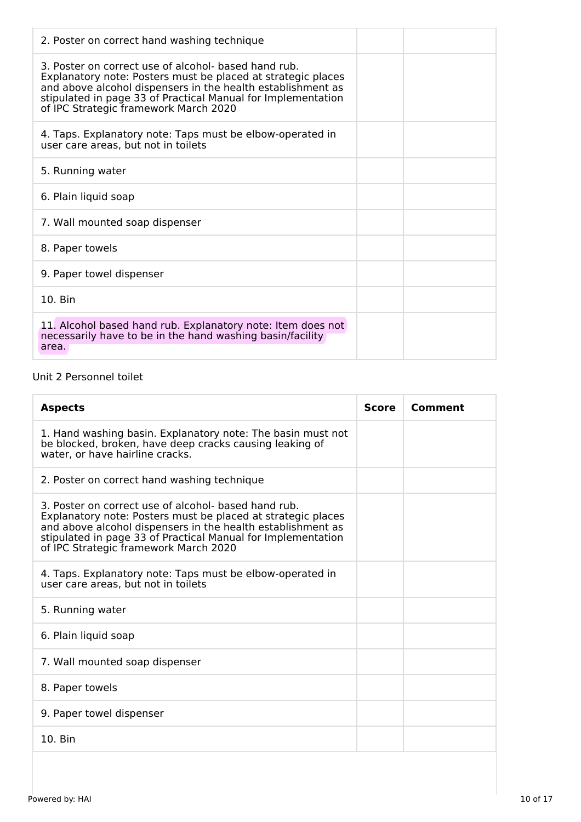| 2. Poster on correct hand washing technique                                                                                                                                                                                                                                                  |  |
|----------------------------------------------------------------------------------------------------------------------------------------------------------------------------------------------------------------------------------------------------------------------------------------------|--|
| 3. Poster on correct use of alcohol- based hand rub.<br>Explanatory note: Posters must be placed at strategic places<br>and above alcohol dispensers in the health establishment as<br>stipulated in page 33 of Practical Manual for Implementation<br>of IPC Strategic framework March 2020 |  |
| 4. Taps. Explanatory note: Taps must be elbow-operated in<br>user care areas, but not in toilets                                                                                                                                                                                             |  |
| 5. Running water                                                                                                                                                                                                                                                                             |  |
| 6. Plain liquid soap                                                                                                                                                                                                                                                                         |  |
| 7. Wall mounted soap dispenser                                                                                                                                                                                                                                                               |  |
| 8. Paper towels                                                                                                                                                                                                                                                                              |  |
| 9. Paper towel dispenser                                                                                                                                                                                                                                                                     |  |
| $10.$ Bin                                                                                                                                                                                                                                                                                    |  |
| 11. Alcohol based hand rub. Explanatory note: Item does not<br>necessarily have to be in the hand washing basin/facility<br>area.                                                                                                                                                            |  |

## Unit 2 Personnel toilet

| <b>Aspects</b>                                                                                                                                                                                                                                                                               | <b>Score</b> | Comment |
|----------------------------------------------------------------------------------------------------------------------------------------------------------------------------------------------------------------------------------------------------------------------------------------------|--------------|---------|
| 1. Hand washing basin. Explanatory note: The basin must not<br>be blocked, broken, have deep cracks causing leaking of<br>water, or have hairline cracks.                                                                                                                                    |              |         |
| 2. Poster on correct hand washing technique                                                                                                                                                                                                                                                  |              |         |
| 3. Poster on correct use of alcohol- based hand rub.<br>Explanatory note: Posters must be placed at strategic places<br>and above alcohol dispensers in the health establishment as<br>stipulated in page 33 of Practical Manual for Implementation<br>of IPC Strategic framework March 2020 |              |         |
| 4. Taps. Explanatory note: Taps must be elbow-operated in<br>user care areas, but not in toilets                                                                                                                                                                                             |              |         |
| 5. Running water                                                                                                                                                                                                                                                                             |              |         |
| 6. Plain liquid soap                                                                                                                                                                                                                                                                         |              |         |
| 7. Wall mounted soap dispenser                                                                                                                                                                                                                                                               |              |         |
| 8. Paper towels                                                                                                                                                                                                                                                                              |              |         |
| 9. Paper towel dispenser                                                                                                                                                                                                                                                                     |              |         |
| 10. Bin                                                                                                                                                                                                                                                                                      |              |         |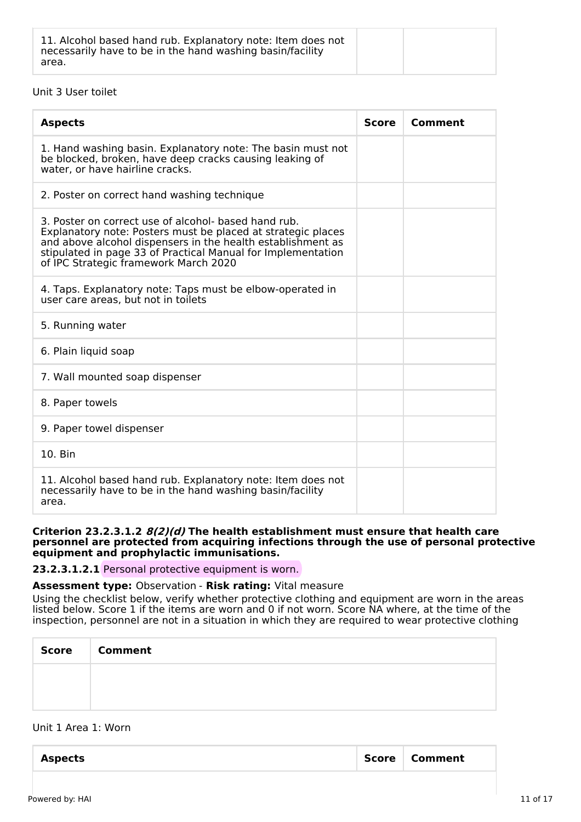| 11. Alcohol based hand rub. Explanatory note: Item does not<br>necessarily have to be in the hand washing basin/facility<br>area. |  |  |
|-----------------------------------------------------------------------------------------------------------------------------------|--|--|
|-----------------------------------------------------------------------------------------------------------------------------------|--|--|

#### Unit 3 User toilet

| <b>Aspects</b>                                                                                                                                                                                                                                                                               | <b>Score</b> | Comment |
|----------------------------------------------------------------------------------------------------------------------------------------------------------------------------------------------------------------------------------------------------------------------------------------------|--------------|---------|
| 1. Hand washing basin. Explanatory note: The basin must not<br>be blocked, broken, have deep cracks causing leaking of<br>water, or have hairline cracks.                                                                                                                                    |              |         |
| 2. Poster on correct hand washing technique                                                                                                                                                                                                                                                  |              |         |
| 3. Poster on correct use of alcohol- based hand rub.<br>Explanatory note: Posters must be placed at strategic places<br>and above alcohol dispensers in the health establishment as<br>stipulated in page 33 of Practical Manual for Implementation<br>of IPC Strategic framework March 2020 |              |         |
| 4. Taps. Explanatory note: Taps must be elbow-operated in<br>user care areas, but not in toilets                                                                                                                                                                                             |              |         |
| 5. Running water                                                                                                                                                                                                                                                                             |              |         |
| 6. Plain liquid soap                                                                                                                                                                                                                                                                         |              |         |
| 7. Wall mounted soap dispenser                                                                                                                                                                                                                                                               |              |         |
| 8. Paper towels                                                                                                                                                                                                                                                                              |              |         |
| 9. Paper towel dispenser                                                                                                                                                                                                                                                                     |              |         |
| 10. Bin                                                                                                                                                                                                                                                                                      |              |         |
| 11. Alcohol based hand rub. Explanatory note: Item does not<br>necessarily have to be in the hand washing basin/facility<br>area.                                                                                                                                                            |              |         |

#### **Criterion 23.2.3.1.2 8(2)(d) The health establishment must ensure that health care personnel are protected from acquiring infections through the use of personal protective equipment and prophylactic immunisations.**

**23.2.3.1.2.1** Personal protective equipment is worn.

#### **Assessment type:** Observation - **Risk rating:** Vital measure

Using the checklist below, verify whether protective clothing and equipment are worn in the areas listed below. Score 1 if the items are worn and 0 if not worn. Score NA where, at the time of the inspection, personnel are not in a situation in which they are required to wear protective clothing

| <b>Score</b> | <b>Comment</b> |
|--------------|----------------|
|              |                |
|              |                |

#### Unit 1 Area 1: Worn

| <b>Aspects</b> | Score   Comment |
|----------------|-----------------|
|                |                 |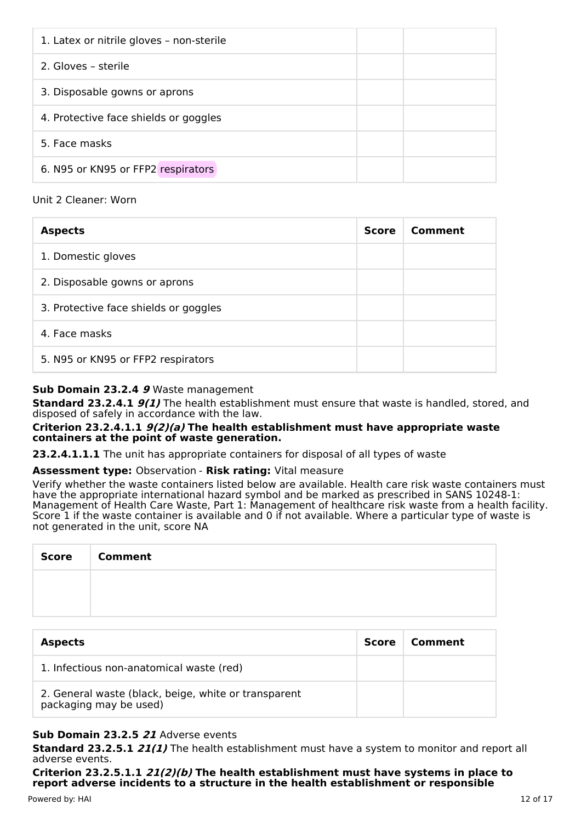| 1. Latex or nitrile gloves - non-sterile |  |
|------------------------------------------|--|
| 2. Gloves - sterile                      |  |
| 3. Disposable gowns or aprons            |  |
| 4. Protective face shields or goggles    |  |
| 5. Face masks                            |  |
| 6. N95 or KN95 or FFP2 respirators       |  |

#### Unit 2 Cleaner: Worn

| <b>Aspects</b>                        | <b>Score</b> | Comment |
|---------------------------------------|--------------|---------|
| 1. Domestic gloves                    |              |         |
| 2. Disposable gowns or aprons         |              |         |
| 3. Protective face shields or goggles |              |         |
| 4. Face masks                         |              |         |
| 5. N95 or KN95 or FFP2 respirators    |              |         |

## **Sub Domain 23.2.4 9** Waste management

**Standard 23.2.4.1 9(1)** The health establishment must ensure that waste is handled, stored, and disposed of safely in accordance with the law.

**Criterion 23.2.4.1.1 9(2)(a) The health establishment must have appropriate waste containers at the point of waste generation.**

**23.2.4.1.1.1** The unit has appropriate containers for disposal of all types of waste

#### **Assessment type:** Observation - **Risk rating:** Vital measure

Verify whether the waste containers listed below are available. Health care risk waste containers must have the appropriate international hazard symbol and be marked as prescribed in SANS 10248-1: Management of Health Care Waste, Part 1: Management of healthcare risk waste from a health facility. Score 1 if the waste container is available and 0 if not available. Where a particular type of waste is not generated in the unit, score NA

| Score | <b>Comment</b> |
|-------|----------------|
|       |                |
|       |                |

| <b>Aspects</b>                                                                 | Score | Comment |
|--------------------------------------------------------------------------------|-------|---------|
| 1. Infectious non-anatomical waste (red)                                       |       |         |
| 2. General waste (black, beige, white or transparent<br>packaging may be used) |       |         |

## **Sub Domain 23.2.5 21** Adverse events

**Standard 23.2.5.1 21(1)** The health establishment must have a system to monitor and report all adverse events.

**Criterion 23.2.5.1.1 21(2)(b) The health establishment must have systems in place to report adverse incidents to a structure in the health establishment or responsible**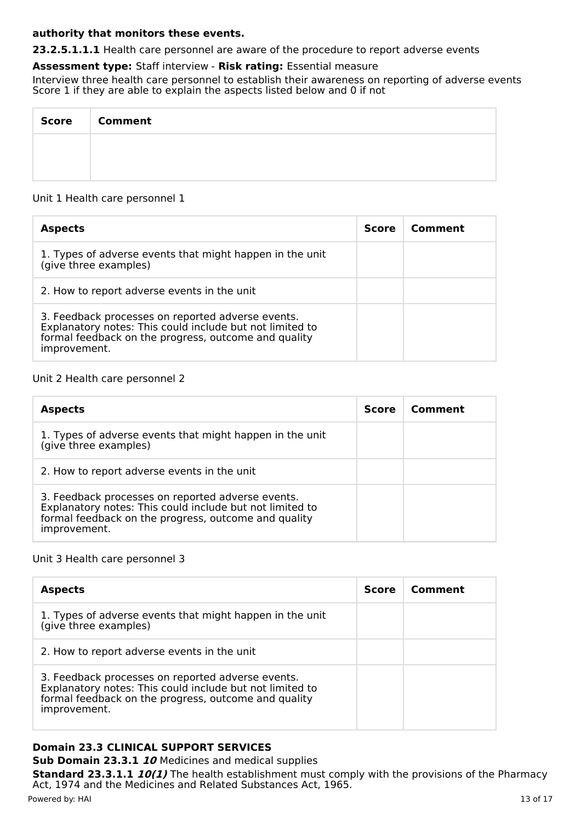#### **authority that monitors these events.**

**23.2.5.1.1.1** Health care personnel are aware of the procedure to report adverse events

#### **Assessment type:** Staff interview - **Risk rating:** Essential measure

Interview three health care personnel to establish their awareness on reporting of adverse events Score 1 if they are able to explain the aspects listed below and 0 if not

| Score   Comment |
|-----------------|
|                 |
|                 |

#### Unit 1 Health care personnel 1

| <b>Aspects</b>                                                                                                                                                                        | Score | Comment |
|---------------------------------------------------------------------------------------------------------------------------------------------------------------------------------------|-------|---------|
| 1. Types of adverse events that might happen in the unit<br>(give three examples)                                                                                                     |       |         |
| 2. How to report adverse events in the unit                                                                                                                                           |       |         |
| 3. Feedback processes on reported adverse events.<br>Explanatory notes: This could include but not limited to<br>formal feedback on the progress, outcome and quality<br>improvement. |       |         |

#### Unit 2 Health care personnel 2

| <b>Aspects</b>                                                                                                                                                                        | <b>Score</b> | Comment |
|---------------------------------------------------------------------------------------------------------------------------------------------------------------------------------------|--------------|---------|
| 1. Types of adverse events that might happen in the unit<br>(give three examples)                                                                                                     |              |         |
| 2. How to report adverse events in the unit                                                                                                                                           |              |         |
| 3. Feedback processes on reported adverse events.<br>Explanatory notes: This could include but not limited to<br>formal feedback on the progress, outcome and quality<br>improvement. |              |         |

#### Unit 3 Health care personnel 3

| <b>Aspects</b>                                                                                                                                                                        | <b>Score</b> | Comment |
|---------------------------------------------------------------------------------------------------------------------------------------------------------------------------------------|--------------|---------|
| 1. Types of adverse events that might happen in the unit<br>(give three examples)                                                                                                     |              |         |
| 2. How to report adverse events in the unit                                                                                                                                           |              |         |
| 3. Feedback processes on reported adverse events.<br>Explanatory notes: This could include but not limited to<br>formal feedback on the progress, outcome and quality<br>improvement. |              |         |

# **Domain 23.3 CLINICAL SUPPORT SERVICES**

**Sub Domain 23.3.1 10** Medicines and medical supplies

**Standard 23.3.1.1 10(1)** The health establishment must comply with the provisions of the Pharmacy Act, 1974 and the Medicines and Related Substances Act, 1965.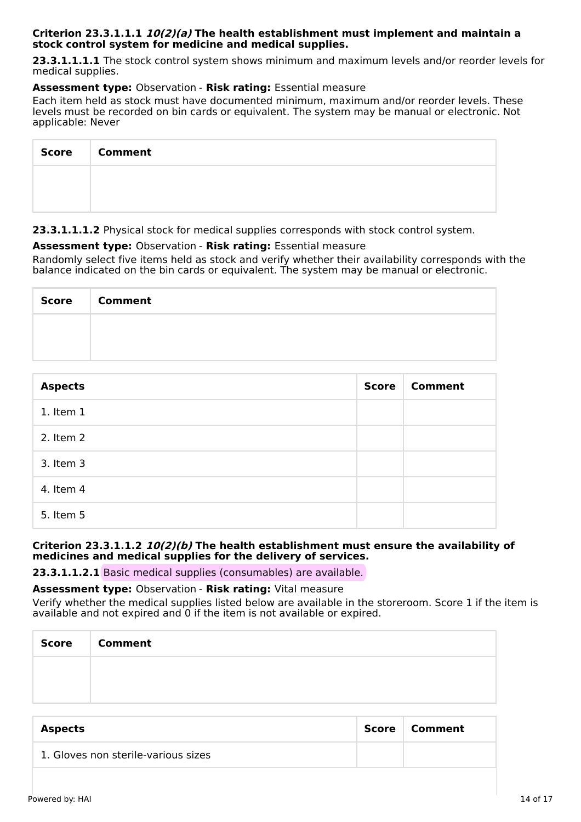#### **Criterion 23.3.1.1.1 10(2)(a) The health establishment must implement and maintain a stock control system for medicine and medical supplies.**

**23.3.1.1.1.1** The stock control system shows minimum and maximum levels and/or reorder levels for medical supplies.

#### **Assessment type:** Observation - **Risk rating:** Essential measure

Each item held as stock must have documented minimum, maximum and/or reorder levels. These levels must be recorded on bin cards or equivalent. The system may be manual or electronic. Not applicable: Never

| <b>Score</b> | <b>Comment</b> |
|--------------|----------------|
|              |                |
|              |                |

**23.3.1.1.1.2** Physical stock for medical supplies corresponds with stock control system.

## **Assessment type:** Observation - **Risk rating:** Essential measure

Randomly select five items held as stock and verify whether their availability corresponds with the balance indicated on the bin cards or equivalent. The system may be manual or electronic.

| <b>Score</b> | <b>Comment</b> |
|--------------|----------------|
|              |                |
|              |                |

| <b>Aspects</b> | <b>Score</b> | <b>Comment</b> |
|----------------|--------------|----------------|
| $1.$ Item $1$  |              |                |
| 2. Item 2      |              |                |
| 3. Item 3      |              |                |
| 4. Item 4      |              |                |
| 5. Item 5      |              |                |

#### **Criterion 23.3.1.1.2 10(2)(b) The health establishment must ensure the availability of medicines and medical supplies for the delivery of services.**

**23.3.1.1.2.1** Basic medical supplies (consumables) are available.

#### **Assessment type:** Observation - **Risk rating:** Vital measure

Verify whether the medical supplies listed below are available in the storeroom. Score 1 if the item is available and not expired and  $\overline{0}$  if the item is not available or expired.

| Score   Comment |
|-----------------|
|                 |
|                 |

| <b>Aspects</b>                      | Score   Comment |
|-------------------------------------|-----------------|
| 1. Gloves non sterile-various sizes |                 |
|                                     |                 |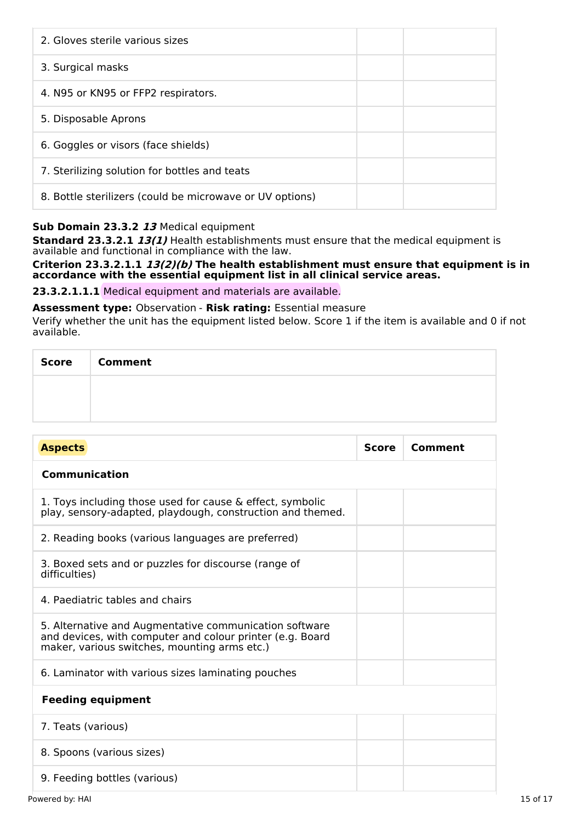| 2. Gloves sterile various sizes                          |  |
|----------------------------------------------------------|--|
| 3. Surgical masks                                        |  |
| 4. N95 or KN95 or FFP2 respirators.                      |  |
| 5. Disposable Aprons                                     |  |
| 6. Goggles or visors (face shields)                      |  |
| 7. Sterilizing solution for bottles and teats            |  |
| 8. Bottle sterilizers (could be microwave or UV options) |  |

## **Sub Domain 23.3.2 13** Medical equipment

**Standard 23.3.2.1 13(1)** Health establishments must ensure that the medical equipment is available and functional in compliance with the law.

**Criterion 23.3.2.1.1 13(2)(b) The health establishment must ensure that equipment is in accordance with the essential equipment list in all clinical service areas.**

**23.3.2.1.1.1** Medical equipment and materials are available.

## **Assessment type:** Observation - **Risk rating:** Essential measure

Verify whether the unit has the equipment listed below. Score 1 if the item is available and 0 if not available.

| <b>Score</b> | <b>Comment</b> |
|--------------|----------------|
|              |                |
|              |                |

| <b>Aspects</b>                                                                                                                                                      | <b>Score</b> | <b>Comment</b> |
|---------------------------------------------------------------------------------------------------------------------------------------------------------------------|--------------|----------------|
| <b>Communication</b>                                                                                                                                                |              |                |
| 1. Toys including those used for cause & effect, symbolic<br>play, sensory-adapted, playdough, construction and themed.                                             |              |                |
| 2. Reading books (various languages are preferred)                                                                                                                  |              |                |
| 3. Boxed sets and or puzzles for discourse (range of<br>difficulties)                                                                                               |              |                |
| 4. Paediatric tables and chairs                                                                                                                                     |              |                |
| 5. Alternative and Augmentative communication software<br>and devices, with computer and colour printer (e.g. Board<br>maker, various switches, mounting arms etc.) |              |                |
| 6. Laminator with various sizes laminating pouches                                                                                                                  |              |                |
| <b>Feeding equipment</b>                                                                                                                                            |              |                |
| 7. Teats (various)                                                                                                                                                  |              |                |
| 8. Spoons (various sizes)                                                                                                                                           |              |                |
| 9. Feeding bottles (various)                                                                                                                                        |              |                |
| Powered by: HAI                                                                                                                                                     |              |                |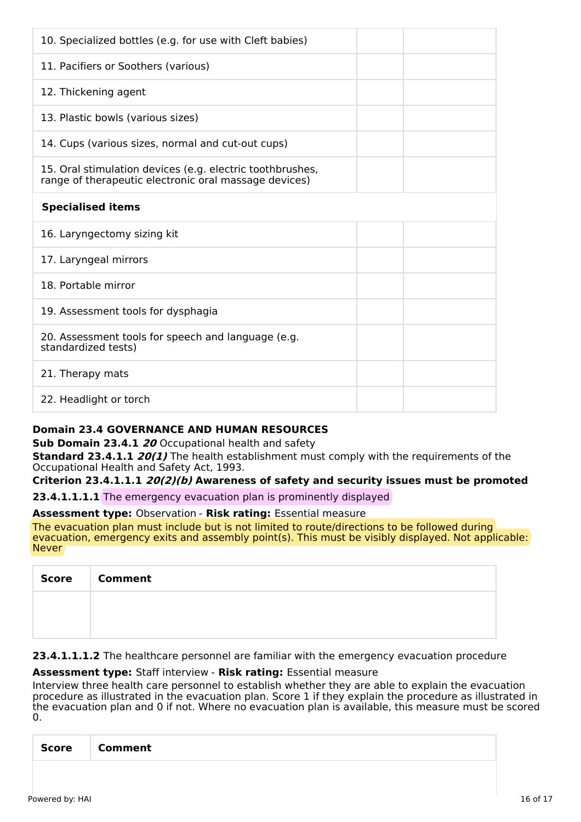| 10. Specialized bottles (e.g. for use with Cleft babies)                                                           |  |
|--------------------------------------------------------------------------------------------------------------------|--|
| 11. Pacifiers or Soothers (various)                                                                                |  |
| 12. Thickening agent                                                                                               |  |
| 13. Plastic bowls (various sizes)                                                                                  |  |
| 14. Cups (various sizes, normal and cut-out cups)                                                                  |  |
| 15. Oral stimulation devices (e.g. electric toothbrushes,<br>range of therapeutic electronic oral massage devices) |  |
| <b>Specialised items</b>                                                                                           |  |
| 16. Laryngectomy sizing kit                                                                                        |  |
| 17. Laryngeal mirrors                                                                                              |  |
| 18. Portable mirror                                                                                                |  |
| 19. Assessment tools for dysphagia                                                                                 |  |
| 20. Assessment tools for speech and language (e.g.<br>standardized tests)                                          |  |
| 21. Therapy mats                                                                                                   |  |
| 22. Headlight or torch                                                                                             |  |

## **Domain 23.4 GOVERNANCE AND HUMAN RESOURCES**

**Sub Domain 23.4.1 20** Occupational health and safety

**Standard 23.4.1.1 20(1)** The health establishment must comply with the requirements of the Occupational Health and Safety Act, 1993.

**Criterion 23.4.1.1.1 20(2)(b) Awareness of safety and security issues must be promoted**

**23.4.1.1.1.1** The emergency evacuation plan is prominently displayed

#### **Assessment type:** Observation - **Risk rating:** Essential measure

The evacuation plan must include but is not limited to route/directions to be followed during evacuation, emergency exits and assembly point(s). This must be visibly displayed. Not applicable: **Never** 

| Score | <b>Comment</b> |
|-------|----------------|
|       |                |
|       |                |

23.4.1.1.1.2 The healthcare personnel are familiar with the emergency evacuation procedure

## **Assessment type:** Staff interview - **Risk rating:** Essential measure

Interview three health care personnel to establish whether they are able to explain the evacuation procedure as illustrated in the evacuation plan. Score 1 if they explain the procedure as illustrated in the evacuation plan and 0 if not. Where no evacuation plan is available, this measure must be scored 0.

|--|